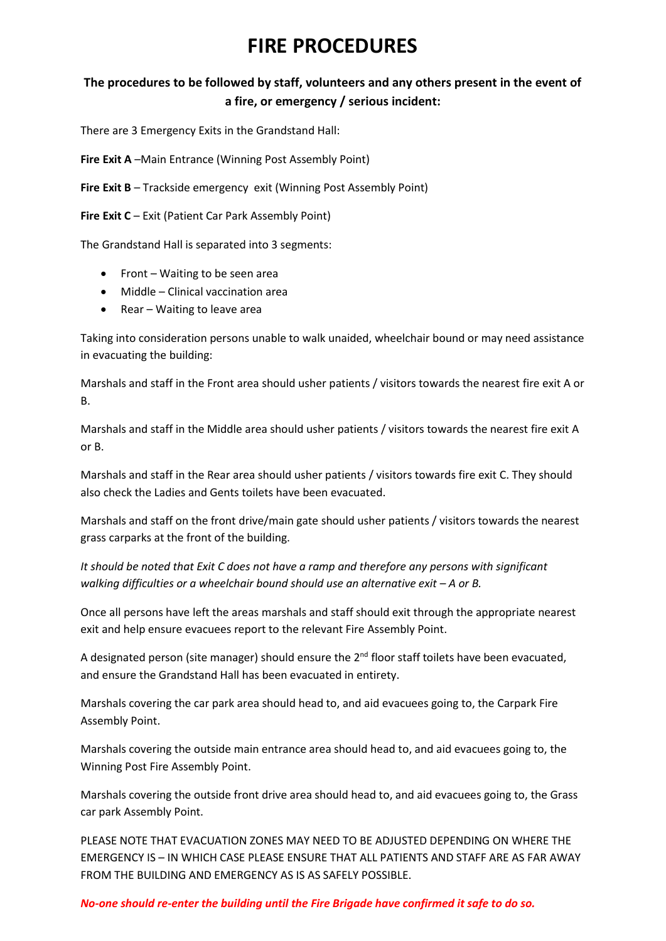# **FIRE PROCEDURES**

# **The procedures to be followed by staff, volunteers and any others present in the event of a fire, or emergency / serious incident:**

There are 3 Emergency Exits in the Grandstand Hall:

**Fire Exit A** –Main Entrance (Winning Post Assembly Point)

**Fire Exit B** – Trackside emergency exit (Winning Post Assembly Point)

**Fire Exit C** – Exit (Patient Car Park Assembly Point)

The Grandstand Hall is separated into 3 segments:

- Front Waiting to be seen area
- Middle Clinical vaccination area
- Rear Waiting to leave area

Taking into consideration persons unable to walk unaided, wheelchair bound or may need assistance in evacuating the building:

Marshals and staff in the Front area should usher patients / visitors towards the nearest fire exit A or B.

Marshals and staff in the Middle area should usher patients / visitors towards the nearest fire exit A or B.

Marshals and staff in the Rear area should usher patients / visitors towards fire exit C. They should also check the Ladies and Gents toilets have been evacuated.

Marshals and staff on the front drive/main gate should usher patients / visitors towards the nearest grass carparks at the front of the building.

*It should be noted that Exit C does not have a ramp and therefore any persons with significant walking difficulties or a wheelchair bound should use an alternative exit – A or B.* 

Once all persons have left the areas marshals and staff should exit through the appropriate nearest exit and help ensure evacuees report to the relevant Fire Assembly Point.

A designated person (site manager) should ensure the  $2<sup>nd</sup>$  floor staff toilets have been evacuated, and ensure the Grandstand Hall has been evacuated in entirety.

Marshals covering the car park area should head to, and aid evacuees going to, the Carpark Fire Assembly Point.

Marshals covering the outside main entrance area should head to, and aid evacuees going to, the Winning Post Fire Assembly Point.

Marshals covering the outside front drive area should head to, and aid evacuees going to, the Grass car park Assembly Point.

PLEASE NOTE THAT EVACUATION ZONES MAY NEED TO BE ADJUSTED DEPENDING ON WHERE THE EMERGENCY IS – IN WHICH CASE PLEASE ENSURE THAT ALL PATIENTS AND STAFF ARE AS FAR AWAY FROM THE BUILDING AND EMERGENCY AS IS AS SAFELY POSSIBLE.

#### *No-one should re-enter the building until the Fire Brigade have confirmed it safe to do so.*